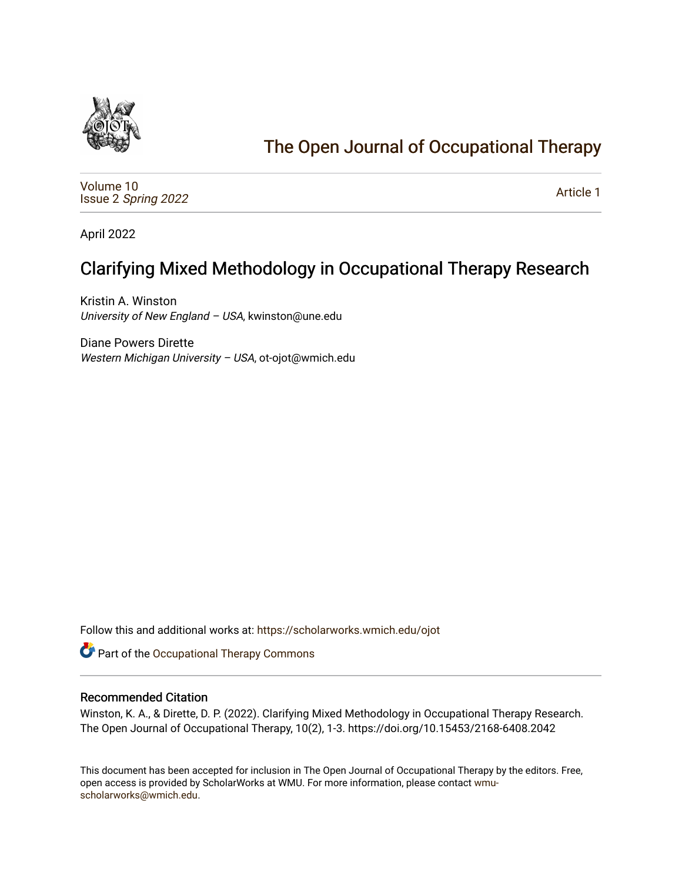

# [The Open Journal of Occupational Therapy](https://scholarworks.wmich.edu/ojot)

[Volume 10](https://scholarworks.wmich.edu/ojot/vol10) Issue 2 [Spring 2022](https://scholarworks.wmich.edu/ojot/vol10/iss2) 

[Article 1](https://scholarworks.wmich.edu/ojot/vol10/iss2/1) 

April 2022

## Clarifying Mixed Methodology in Occupational Therapy Research

Kristin A. Winston University of New England - USA, kwinston@une.edu

Diane Powers Dirette Western Michigan University - USA, ot-ojot@wmich.edu

Follow this and additional works at: [https://scholarworks.wmich.edu/ojot](https://scholarworks.wmich.edu/ojot?utm_source=scholarworks.wmich.edu%2Fojot%2Fvol10%2Fiss2%2F1&utm_medium=PDF&utm_campaign=PDFCoverPages)

Part of the [Occupational Therapy Commons](http://network.bepress.com/hgg/discipline/752?utm_source=scholarworks.wmich.edu%2Fojot%2Fvol10%2Fiss2%2F1&utm_medium=PDF&utm_campaign=PDFCoverPages) 

#### Recommended Citation

Winston, K. A., & Dirette, D. P. (2022). Clarifying Mixed Methodology in Occupational Therapy Research. The Open Journal of Occupational Therapy, 10(2), 1-3. https://doi.org/10.15453/2168-6408.2042

This document has been accepted for inclusion in The Open Journal of Occupational Therapy by the editors. Free, open access is provided by ScholarWorks at WMU. For more information, please contact [wmu](mailto:wmu-scholarworks@wmich.edu)[scholarworks@wmich.edu.](mailto:wmu-scholarworks@wmich.edu)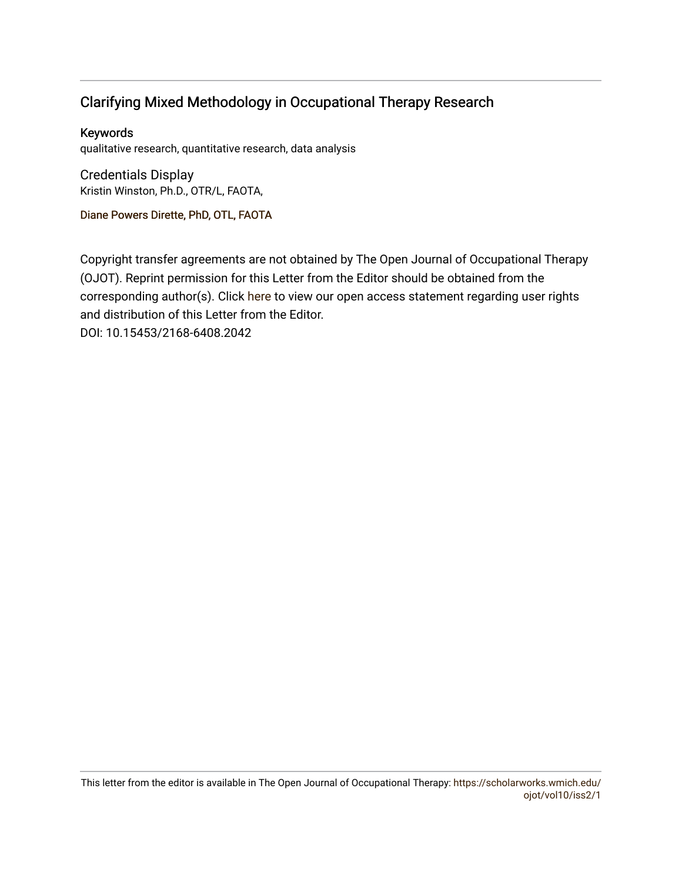## Clarifying Mixed Methodology in Occupational Therapy Research

## Keywords

qualitative research, quantitative research, data analysis

Credentials Display Kristin Winston, Ph.D., OTR/L, FAOTA,

Diane Powers Dir[ette, PhD, OTL, FAOTA](http://scholarworks.wmich.edu/boardprofiles/16/)

Copyright transfer agreements are not obtained by The Open Journal of Occupational Therapy (OJOT). Reprint permission for this Letter from the Editor should be obtained from the corresponding author(s). Click [here](https://scholarworks.wmich.edu/ojot/policies.html#rights) to view our open access statement regarding user rights and distribution of this Letter from the Editor. DOI: 10.15453/2168-6408.2042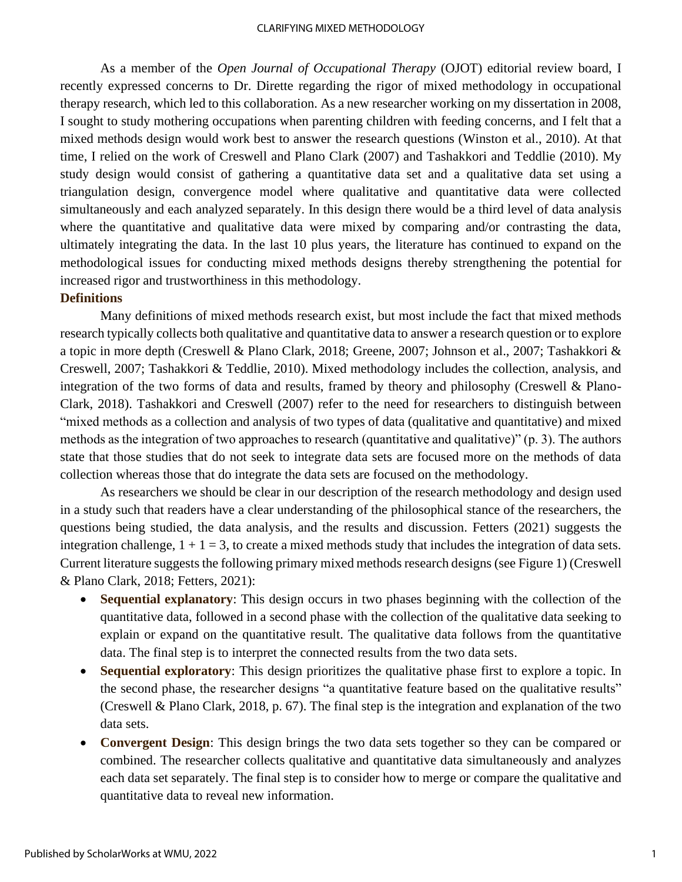#### CLARIFYING MIXED METHODOLOGY

As a member of the *Open Journal of Occupational Therapy* (OJOT) editorial review board, I recently expressed concerns to Dr. Dirette regarding the rigor of mixed methodology in occupational therapy research, which led to this collaboration. As a new researcher working on my dissertation in 2008, I sought to study mothering occupations when parenting children with feeding concerns, and I felt that a mixed methods design would work best to answer the research questions (Winston et al., 2010). At that time, I relied on the work of Creswell and Plano Clark (2007) and Tashakkori and Teddlie (2010). My study design would consist of gathering a quantitative data set and a qualitative data set using a triangulation design, convergence model where qualitative and quantitative data were collected simultaneously and each analyzed separately. In this design there would be a third level of data analysis where the quantitative and qualitative data were mixed by comparing and/or contrasting the data, ultimately integrating the data. In the last 10 plus years, the literature has continued to expand on the methodological issues for conducting mixed methods designs thereby strengthening the potential for increased rigor and trustworthiness in this methodology.

#### **Definitions**

Many definitions of mixed methods research exist, but most include the fact that mixed methods research typically collects both qualitative and quantitative data to answer a research question or to explore a topic in more depth (Creswell & Plano Clark, 2018; Greene, 2007; Johnson et al., 2007; Tashakkori & Creswell, 2007; Tashakkori & Teddlie, 2010). Mixed methodology includes the collection, analysis, and integration of the two forms of data and results, framed by theory and philosophy (Creswell & Plano-Clark, 2018). Tashakkori and Creswell (2007) refer to the need for researchers to distinguish between "mixed methods as a collection and analysis of two types of data (qualitative and quantitative) and mixed methods as the integration of two approaches to research (quantitative and qualitative)" (p. 3). The authors state that those studies that do not seek to integrate data sets are focused more on the methods of data collection whereas those that do integrate the data sets are focused on the methodology.

As researchers we should be clear in our description of the research methodology and design used in a study such that readers have a clear understanding of the philosophical stance of the researchers, the questions being studied, the data analysis, and the results and discussion. Fetters (2021) suggests the integration challenge,  $1 + 1 = 3$ , to create a mixed methods study that includes the integration of data sets. Current literature suggests the following primary mixed methods research designs (see Figure 1) (Creswell & Plano Clark, 2018; Fetters, 2021):

- **Sequential explanatory:** This design occurs in two phases beginning with the collection of the quantitative data, followed in a second phase with the collection of the qualitative data seeking to explain or expand on the quantitative result. The qualitative data follows from the quantitative data. The final step is to interpret the connected results from the two data sets.
- **Sequential exploratory**: This design prioritizes the qualitative phase first to explore a topic. In the second phase, the researcher designs "a quantitative feature based on the qualitative results" (Creswell & Plano Clark, 2018, p. 67). The final step is the integration and explanation of the two data sets.
- **Convergent Design**: This design brings the two data sets together so they can be compared or combined. The researcher collects qualitative and quantitative data simultaneously and analyzes each data set separately. The final step is to consider how to merge or compare the qualitative and quantitative data to reveal new information.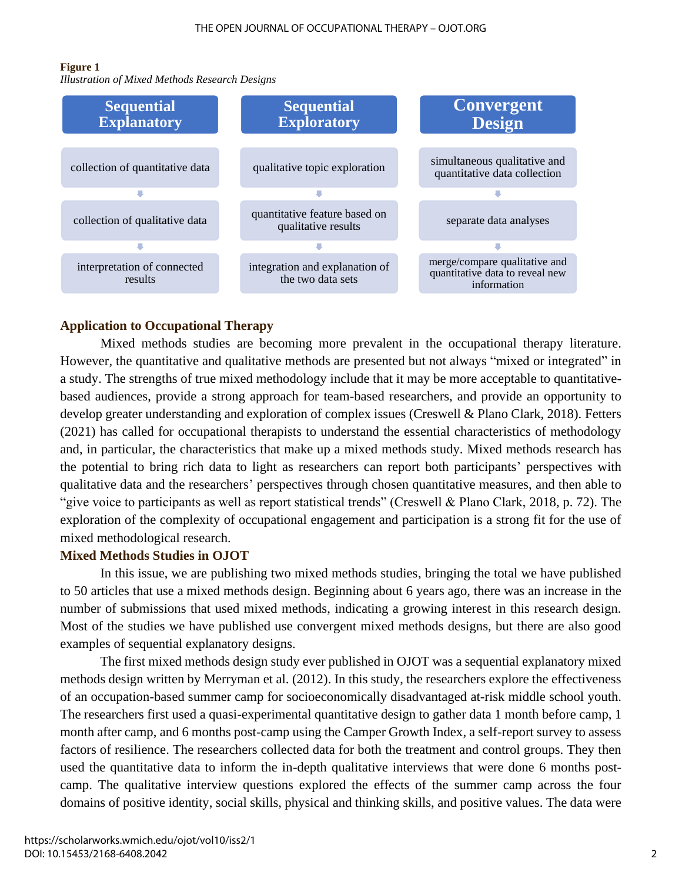#### **Figure 1**

*Illustration of Mixed Methods Research Designs*



### **Application to Occupational Therapy**

Mixed methods studies are becoming more prevalent in the occupational therapy literature. However, the quantitative and qualitative methods are presented but not always "mixed or integrated" in a study. The strengths of true mixed methodology include that it may be more acceptable to quantitativebased audiences, provide a strong approach for team-based researchers, and provide an opportunity to develop greater understanding and exploration of complex issues (Creswell & Plano Clark, 2018). Fetters (2021) has called for occupational therapists to understand the essential characteristics of methodology and, in particular, the characteristics that make up a mixed methods study. Mixed methods research has the potential to bring rich data to light as researchers can report both participants' perspectives with qualitative data and the researchers' perspectives through chosen quantitative measures, and then able to "give voice to participants as well as report statistical trends" (Creswell & Plano Clark, 2018, p. 72). The exploration of the complexity of occupational engagement and participation is a strong fit for the use of mixed methodological research.

### **Mixed Methods Studies in OJOT**

In this issue, we are publishing two mixed methods studies, bringing the total we have published to 50 articles that use a mixed methods design. Beginning about 6 years ago, there was an increase in the number of submissions that used mixed methods, indicating a growing interest in this research design. Most of the studies we have published use convergent mixed methods designs, but there are also good examples of sequential explanatory designs.

The first mixed methods design study ever published in OJOT was a sequential explanatory mixed methods design written by Merryman et al. (2012). In this study, the researchers explore the effectiveness of an occupation-based summer camp for socioeconomically disadvantaged at-risk middle school youth. The researchers first used a quasi-experimental quantitative design to gather data 1 month before camp, 1 month after camp, and 6 months post-camp using the Camper Growth Index, a self-report survey to assess factors of resilience. The researchers collected data for both the treatment and control groups. They then used the quantitative data to inform the in-depth qualitative interviews that were done 6 months postcamp. The qualitative interview questions explored the effects of the summer camp across the four domains of positive identity, social skills, physical and thinking skills, and positive values. The data were